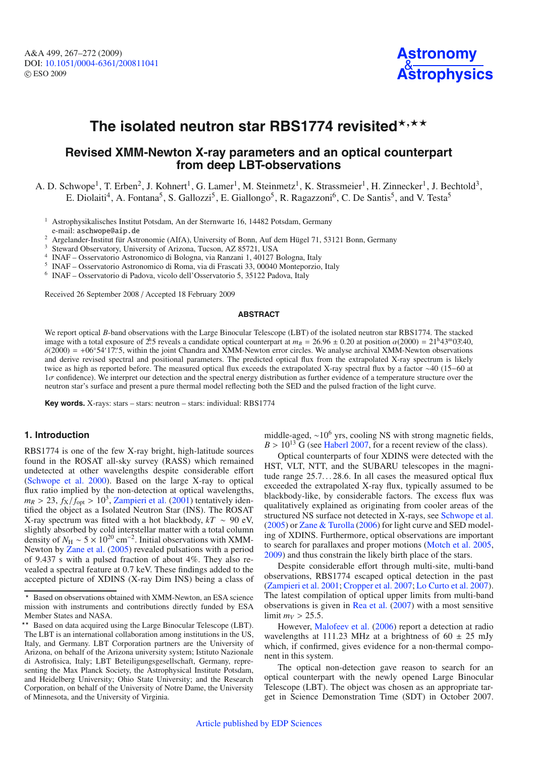

# The isolated neutron star RBS1774 revisited\*<sup>,\*\*</sup>

# **Revised XMM-Newton X-ray parameters and an optical counterpart from deep LBT-observations**

A. D. Schwope<sup>1</sup>, T. Erben<sup>2</sup>, J. Kohnert<sup>1</sup>, G. Lamer<sup>1</sup>, M. Steinmetz<sup>1</sup>, K. Strassmeier<sup>1</sup>, H. Zinnecker<sup>1</sup>, J. Bechtold<sup>3</sup>, E. Diolaiti<sup>4</sup>, A. Fontana<sup>5</sup>, S. Gallozzi<sup>5</sup>, E. Giallongo<sup>5</sup>, R. Ragazzoni<sup>6</sup>, C. De Santis<sup>5</sup>, and V. Testa<sup>5</sup>

<sup>1</sup> Astrophysikalisches Institut Potsdam, An der Sternwarte 16, 14482 Potsdam, Germany e-mail: aschwope@aip.de

<sup>2</sup> Argelander-Institut für Astronomie (AIfA), University of Bonn, Auf dem Hügel 71, 53121 Bonn, Germany 3 Steward Observatory, University of Arizona, Tucson, AZ 85721, USA

<sup>4</sup> INAF – Osservatorio Astronomico di Bologna, via Ranzani 1, 40127 Bologna, Italy <sup>5</sup> INAF – Osservatorio Astronomico di Roma, via di Frascati 33, 00040 Monteporzio, Italy <sup>6</sup> INAF – Osservatorio di Padova, vicolo dell'

Received 26 September 2008 / Accepted 18 February 2009

#### **ABSTRACT**

We report optical *B*-band observations with the Large Binocular Telescope (LBT) of the isolated neutron star RBS1774. The stacked image with a total exposure of 2<sup>h</sup>.5 reveals a candidate optical counterpart at  $m_B = 26.96 \pm 0.20$  at position  $\alpha(2000) = 21^{\text{h}}43^{\text{m}}03^{\text{s}}40$ ,  $\delta(2000) = +06°54'17''.5$ , within the joint Chandra and XMM-Newton error circles. We analyse archival XMM-Newton observations and derive revised spectral and positional parameters. The predicted optical flux from the extrapolated X-ray spectrum is likely twice as high as reported before. The measured optical flux exceeds the extrapolated X-ray spectral flux by a factor ∼40 (15−60 at  $1\sigma$  confidence). We interpret our detection and the spectral energy distribution as further evidence of a temperature structure over the neutron star's surface and present a pure thermal model reflecting both the SED and the pulsed fraction of the light curve.

**Key words.** X-rays: stars – stars: neutron – stars: individual: RBS1774

### **1. Introduction**

RBS1774 is one of the few X-ray bright, high-latitude sources found in the ROSAT all-sky survey (RASS) which remained undetected at other wavelengths despite considerable effort [\(Schwope et al. 2000](#page-5-0)). Based on the large X-ray to optical flux ratio implied by the non-detection at optical wavelengths,  $m_R > 23$ ,  $f_X/f_{\text{opt}} > 10^3$ , [Zampieri et al.](#page-5-1) [\(2001](#page-5-1)) tentatively identified the object as a Isolated Neutron Star (INS). The ROSAT X-ray spectrum was fitted with a hot blackbody,  $kT \sim 90$  eV, slightly absorbed by cold interstellar matter with a total column density of  $N_H \sim 5 \times 10^{20}$  cm<sup>-2</sup>. Initial observations with XMM-Newton by [Zane et al.](#page-5-2) [\(2005](#page-5-2)) revealed pulsations with a period of 9.437 s with a pulsed fraction of about 4%. They also revealed a spectral feature at 0.7 keV. These findings added to the accepted picture of XDINS (X-ray Dim INS) being a class of middle-aged,  $\sim$ 10<sup>6</sup> yrs, cooling NS with strong magnetic fields,  $B > 10^{13}$  G (see [Haberl 2007](#page-5-3), for a recent review of the class).

Optical counterparts of four XDINS were detected with the HST, VLT, NTT, and the SUBARU telescopes in the magnitude range 25.7...28.6. In all cases the measured optical flux exceeded the extrapolated X-ray flux, typically assumed to be blackbody-like, by considerable factors. The excess flux was qualitatively explained as originating from cooler areas of the structured NS surface not detected in X-rays, see [Schwope et al.](#page-5-4) [\(2005](#page-5-4)) or [Zane & Turolla](#page-5-5) [\(2006\)](#page-5-5) for light curve and SED modeling of XDINS. Furthermore, optical observations are important to search for parallaxes and proper motions [\(Motch et al. 2005](#page-5-6), [2009](#page-5-7)) and thus constrain the likely birth place of the stars.

Despite considerable effort through multi-site, multi-band observations, RBS1774 escaped optical detection in the past [\(Zampieri et al. 2001](#page-5-1); [Cropper et al. 2007;](#page-5-8) [Lo Curto et al. 2007](#page-5-9)). The latest compilation of optical upper limits from multi-band observations is given in [Rea et al.](#page-5-10) [\(2007](#page-5-10)) with a most sensitive limit  $m_V > 25.5$ .

However, [Malofeev et al.](#page-5-11) [\(2006\)](#page-5-11) report a detection at radio wavelengths at 111.23 MHz at a brightness of  $60 \pm 25$  mJy which, if confirmed, gives evidence for a non-thermal component in this system.

The optical non-detection gave reason to search for an optical counterpart with the newly opened Large Binocular Telescope (LBT). The object was chosen as an appropriate target in Science Demonstration Time (SDT) in October 2007.

 $\star$  Based on observations obtained with XMM-Newton, an ESA science mission with instruments and contributions directly funded by ESA Member States and NASA.

<sup>\*\*</sup> Based on data acquired using the Large Binocular Telescope (LBT). The LBT is an international collaboration among institutions in the US, Italy, and Germany. LBT Corporation partners are the University of Arizona, on behalf of the Arizona university system; Istituto Nazionale di Astrofisica, Italy; LBT Beteiligungsgesellschaft, Germany, representing the Max Planck Society, the Astrophysical Institute Potsdam, and Heidelberg University; Ohio State University; and the Research Corporation, on behalf of the University of Notre Dame, the University of Minnesota, and the University of Virginia.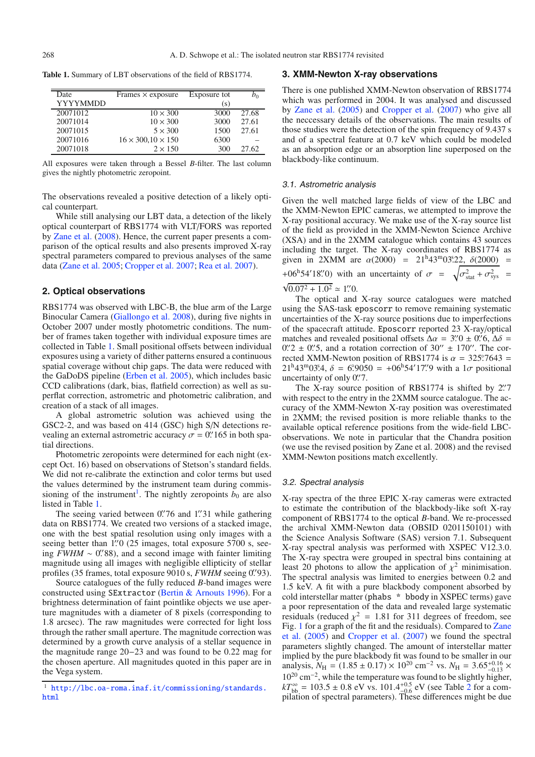<span id="page-1-0"></span>**Table 1.** Summary of LBT observations of the field of RBS1774.

| Date            | Frames $\times$ exposure       | Exposure tot |       |
|-----------------|--------------------------------|--------------|-------|
| <b>YYYYMMDD</b> |                                | (s)          |       |
| 20071012        | $10 \times 300$                | 3000         | 27.68 |
| 20071014        | $10 \times 300$                | 3000         | 27.61 |
| 20071015        | $5 \times 300$                 | 1500         | 27.61 |
| 20071016        | $16 \times 300, 10 \times 150$ | 6300         |       |
| 20071018        | $2 \times 150$                 | 300          | 27.62 |

All exposures were taken through a Bessel *B*-filter. The last column gives the nightly photometric zeropoint.

The observations revealed a positive detection of a likely optical counterpart.

While still analysing our LBT data, a detection of the likely optical counterpart of RBS1774 with VLT/FORS was reported by [Zane et al.](#page-5-12) [\(2008\)](#page-5-12). Hence, the current paper presents a comparison of the optical results and also presents improved X-ray spectral parameters compared to previous analyses of the same data [\(Zane et al. 2005;](#page-5-2) [Cropper et al. 2007](#page-5-8); [Rea et al. 2007](#page-5-10)).

#### **2. Optical observations**

RBS1774 was observed with LBC-B, the blue arm of the Large Binocular Camera [\(Giallongo et al. 2008](#page-5-13)), during five nights in October 2007 under mostly photometric conditions. The number of frames taken together with individual exposure times are collected in Table [1.](#page-1-0) Small positional offsets between individual exposures using a variety of dither patterns ensured a continuous spatial coverage without chip gaps. The data were reduced with the GaDoDS pipeline [\(Erben et al. 2005\)](#page-5-14), which includes basic CCD calibrations (dark, bias, flatfield correction) as well as superflat correction, astrometric and photometric calibration, and creation of a stack of all images.

A global astrometric solution was achieved using the GSC2-2, and was based on 414 (GSC) high S/N detections revealing an external astrometric accuracy  $\sigma = 0$ . 165 in both spatial directions.

Photometric zeropoints were determined for each night (except Oct. 16) based on observations of Stetson's standard fields. We did not re-calibrate the extinction and color terms but used the values determined by the instrument team during commissioning of the instrument<sup>1</sup>. The nightly zeropoints  $b_0$  are also listed in Table [1.](#page-1-0)

The seeing varied between 0.'76 and 1''31 while gathering data on RBS1774. We created two versions of a stacked image, one with the best spatial resolution using only images with a seeing better than 1." 0 (25 images, total exposure 5700 s, seeing  $FWHM \sim 0.^{\prime\prime}88$ ), and a second image with fainter limiting magnitude using all images with negligible ellipticity of stellar profiles (35 frames, total exposure 9010 s, *FWHM* seeing 0. "93).

<span id="page-1-1"></span>Source catalogues of the fully reduced *B*-band images were constructed using SExtractor [\(Bertin & Arnouts 1996](#page-5-15)). For a brightness determination of faint pointlike objects we use aperture magnitudes with a diameter of 8 pixels (corresponding to 1.8 arcsec). The raw magnitudes were corrected for light loss through the rather small aperture. The magnitude correction was determined by a growth curve analysis of a stellar sequence in the magnitude range 20−23 and was found to be 0.22 mag for the chosen aperture. All magnitudes quoted in this paper are in the Vega system.

#### **3. XMM-Newton X-ray observations**

There is one published XMM-Newton observation of RBS1774 which was performed in 2004. It was analysed and discussed by [Zane et al.](#page-5-2) [\(2005\)](#page-5-2) and [Cropper et al.](#page-5-8) [\(2007](#page-5-8)) who give all the neccessary details of the observations. The main results of those studies were the detection of the spin frequency of 9.437 s and of a spectral feature at 0.7 keV which could be modeled as an absorption edge or an absorption line superposed on the blackbody-like continuum.

#### 3.1. Astrometric analysis

Given the well matched large fields of view of the LBC and the XMM-Newton EPIC cameras, we attempted to improve the X-ray positional accuracy. We make use of the X-ray source list of the field as provided in the XMM-Newton Science Archive (XSA) and in the 2XMM catalogue which contains 43 sources including the target. The X-ray coordinates of RBS1774 as given in 2XMM are  $\alpha(2000) = 21^{\text{h}}43^{\text{m}}03^{\text{s}}22$ ,  $\delta(2000) =$ +06<sup>h</sup>54'18'.<sup>'</sup> (0) with an uncertainty of  $\sigma = \sqrt{\sigma_{stat}^2 + \sigma_{sys}^2} = \sqrt{0.07^2 + 1.0^2} \approx 1$ ''.<sup>\*</sup>

# $0.07^2 + 1.0^2 \approx 1\rlap{.}^{\prime\prime}0.$

The optical and X-ray source catalogues were matched using the SAS-task eposcorr to remove remaining systematic uncertainties of the X-ray source positions due to imperfections of the spacecraft attitude. Eposcorr reported 23 X-ray/optical matches and revealed positional offsets  $\Delta \alpha = 3' \cdot 0 \pm 0' \cdot 6$ ,  $\Delta \delta =$  $0\rlap.{''}2 \pm 0\rlap.{''}5$ , and a rotation correction of  $30\rlap.{''} \pm 170\rlap.{''}$ . The corrected XMM-Newton position of RBS1774 is  $\alpha = 325^\circ.7643 =$  $21^{\text{h}}43^{\text{m}}03^{\text{s}}4$ ,  $\delta = 6^\circ9050 = +06^{\text{h}}54'17''\text{°}9$  with a  $1\sigma$  positional uncertainty of only 0.7.

The X-ray source position of RBS1774 is shifted by 2.'7 with respect to the entry in the 2XMM source catalogue. The accuracy of the XMM-Newton X-ray position was overestimated in 2XMM; the revised position is more reliable thanks to the available optical reference positions from the wide-field LBCobservations. We note in particular that the Chandra position (we use the revised position by Zane et al. 2008) and the revised XMM-Newton positions match excellently.

#### 3.2. Spectral analysis

X-ray spectra of the three EPIC X-ray cameras were extracted to estimate the contribution of the blackbody-like soft X-ray component of RBS1774 to the optical *B*-band. We re-processed the archival XMM-Newton data (OBSID 0201150101) with the Science Analysis Software (SAS) version 7.1. Subsequent X-ray spectral analysis was performed with XSPEC V12.3.0. The X-ray spectra were grouped in spectral bins containing at least 20 photons to allow the application of  $\chi^2$  minimisation. The spectral analysis was limited to energies between 0.2 and 1.5 keV. A fit with a pure blackbody component absorbed by cold interstellar matter (phabs \* bbody in XSPEC terms) gave a poor representation of the data and revealed large systematic residuals (reduced  $\chi^2 = 1.81$  for 311 degrees of freedom, see Fig. [1](#page-2-0) [for a graph of the fit and the residuals\). Compared to](#page-5-2) Zane et al. [\(2005](#page-5-2)) and [Cropper et al.](#page-5-8) [\(2007\)](#page-5-8) we found the spectral parameters slightly changed. The amount of interstellar matter implied by the pure blackbody fit was found to be smaller in our analysis,  $N_{\text{H}} = (1.85 \pm 0.17) \times 10^{20} \text{ cm}^{-2} \text{ vs. } N_{\text{H}} = 3.65_{-0.13}^{+0.16} \times 10^{20} \text{ cm}^{-2} \text{ vs. } N_{\text{H}} = 3.65_{-0.13}^{+0.16} \times 10^{20} \text{ cm}^{-2} \text{ vs. } N_{\text{H}} = 3.65_{-0.13}^{+0.16} \times 10^{20} \text{ cm}^{-2} \text{ vs. } N_{\text{H}} = 3.65_{-0$ 10<sup>20</sup> cm−2, while the temperature was found to be slightly higher,  $kT_{\rm bb}^{\infty} = 103.5 \pm 0.8$  eV vs. 101.4<sup>+0.5</sup> eV (see Table [2](#page-2-1) for a com-<br>pilation of spectral parameters). These differences might be due

<sup>1</sup> [http://lbc.oa-roma.inaf.it/commissioning/standards.](http://lbc.oa-roma.inaf.it/commissioning/standards.html) [html](http://lbc.oa-roma.inaf.it/commissioning/standards.html)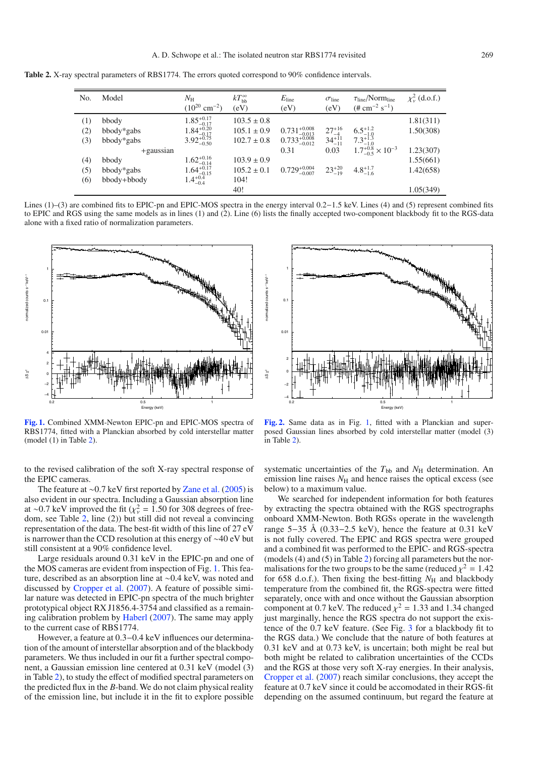<span id="page-2-1"></span>**Table 2.** X-ray spectral parameters of RBS1774. The errors quoted correspond to 90% confidence intervals.

| No. | Model        | $N_{\rm H}$<br>$(10^{20}$ cm <sup>-2</sup> ) | $kT_{\rm bb}^{\infty}$<br>(eV) | $E_{\text{line}}$<br>(eV) | $\sigma$ line<br>(eV)                                     | $\tau_{\text{line}}/ \text{Norm}_{\text{line}}$<br>$(\# \text{ cm}^{-2} \text{ s}^{-1})$ | $\chi^2_{\nu}$ (d.o.f.) |
|-----|--------------|----------------------------------------------|--------------------------------|---------------------------|-----------------------------------------------------------|------------------------------------------------------------------------------------------|-------------------------|
| (1) | bbody        | $1.85^{+0.17}_{-0.17}$                       | $103.5 \pm 0.8$                |                           |                                                           |                                                                                          | 1.81(311)               |
| (2) | bbody*gabs   | $1.84_{-0.17}^{+0.20}$                       | $105.1 \pm 0.9$                | $0.731_{-0.013}^{+0.008}$ |                                                           | $6.5^{+1.2}_{-1.0}$                                                                      | 1.50(308)               |
| (3) | bbody*gabs   | $3.92_{-0.50}^{+0.75}$                       | $102.7 \pm 0.8$                | $0.733_{-0.012}^{+0.008}$ | $27^{+16}_{-4}$<br>34 <sup>+11</sup><br>34 <sup>+11</sup> | $7.3^{+1.3}_{-1.0}$                                                                      |                         |
|     | $+$ gaussian |                                              |                                | 0.31                      | 0.03                                                      | $1.7^{+0.8}_{-0.5} \times 10^{-3}$                                                       | 1.23(307)               |
| (4) | bbody        | $1.62_{-0.14}^{+0.16}$                       | $103.9 \pm 0.9$                |                           |                                                           |                                                                                          | 1.55(661)               |
| (5) | bbody*gabs   | $1.64_{-0.15}^{+0.17}$                       | $105.2 \pm 0.1$                | $0.729_{-0.007}^{+0.004}$ | $23^{+20}_{-19}$                                          | $4.8^{+1.7}_{-1.6}$                                                                      | 1.42(658)               |
| (6) | bbody+bbody  | $1.4^{+0.4}_{-0.4}$                          | 104!                           |                           |                                                           |                                                                                          |                         |
|     |              |                                              | 40!                            |                           |                                                           |                                                                                          | 1.05(349)               |

Lines (1)–(3) are combined fits to EPIC-pn and EPIC-MOS spectra in the energy interval 0.2−1.5 keV. Lines (4) and (5) represent combined fits to EPIC and RGS using the same models as in lines (1) and (2). Line (6) lists the finally accepted two-component blackbody fit to the RGS-data alone with a fixed ratio of normalization parameters.

<span id="page-2-0"></span>

**[Fig. 1.](http://dexter.edpsciences.org/applet.php?DOI=10.1051/0004-6361/200811041&pdf_id=1)** Combined XMM-Newton EPIC-pn and EPIC-MOS spectra of RBS1774, fitted with a Planckian absorbed by cold interstellar matter (model (1) in Table [2\)](#page-2-1).

to the revised calibration of the soft X-ray spectral response of the EPIC cameras.

The feature at ∼0.7 keV first reported by [Zane et al.](#page-5-2) [\(2005](#page-5-2)) is also evident in our spectra. Including a Gaussian absorption line at ∼0.7 keV improved the fit ( $\chi^2 = 1.50$  for 308 degrees of freedom, see Table [2,](#page-2-1) line (2)) but still did not reveal a convincing representation of the data. The best-fit width of this line of 27 eV is narrower than the CCD resolution at this energy of ∼40 eV but still consistent at a 90% confidence level.

Large residuals around 0.31 keV in the EPIC-pn and one of the MOS cameras are evident from inspection of Fig. [1.](#page-2-0) This feature, described as an absorption line at ∼0.4 keV, was noted and discussed by [Cropper et al.](#page-5-8) [\(2007](#page-5-8)). A feature of possible similar nature was detected in EPIC-pn spectra of the much brighter prototypical object RX J1856.4-3754 and classified as a remaining calibration problem by [Haberl](#page-5-3) [\(2007](#page-5-3)). The same may apply to the current case of RBS1774.

However, a feature at 0.3−0.4 keV influences our determination of the amount of interstellar absorption and of the blackbody parameters. We thus included in our fit a further spectral component, a Gaussian emission line centered at 0.31 keV (model (3) in Table [2\)](#page-2-1), to study the effect of modified spectral parameters on the predicted flux in the *B*-band. We do not claim physical reality of the emission line, but include it in the fit to explore possible



**[Fig. 2.](http://dexter.edpsciences.org/applet.php?DOI=10.1051/0004-6361/200811041&pdf_id=2)** Same data as in Fig. [1,](#page-2-0) fitted with a Planckian and superposed Gaussian lines absorbed by cold interstellar matter (model (3) in Table [2\)](#page-2-1).

systematic uncertainties of the  $T_{bb}$  and  $N_H$  determination. An emission line raises  $N<sub>H</sub>$  and hence raises the optical excess (see below) to a maximum value.

We searched for independent information for both features by extracting the spectra obtained with the RGS spectrographs onboard XMM-Newton. Both RGSs operate in the wavelength range 5−35 Å (0.33−2.5 keV), hence the feature at 0.31 keV is not fully covered. The EPIC and RGS spectra were grouped and a combined fit was performed to the EPIC- and RGS-spectra (models (4) and (5) in Table [2\)](#page-2-1) forcing all parameters but the normalisations for the two groups to be the same (reduced  $\chi^2 = 1.42$ ) for 658 d.o.f.). Then fixing the best-fitting  $N_{\rm H}$  and blackbody temperature from the combined fit, the RGS-spectra were fitted separately, once with and once without the Gaussian absorption component at 0.7 keV. The reduced  $\chi^2 = 1.33$  and 1.34 changed just marginally, hence the RGS spectra do not support the existence of the 0.7 keV feature. (See Fig. [3](#page-3-0) for a blackbody fit to the RGS data.) We conclude that the nature of both features at 0.31 keV and at 0.73 keV, is uncertain; both might be real but both might be related to calibration uncertainties of the CCDs and the RGS at those very soft X-ray energies. In their analysis, [Cropper et al.](#page-5-8) [\(2007](#page-5-8)) reach similar conclusions, they accept the feature at 0.7 keV since it could be accomodated in their RGS-fit depending on the assumed continuum, but regard the feature at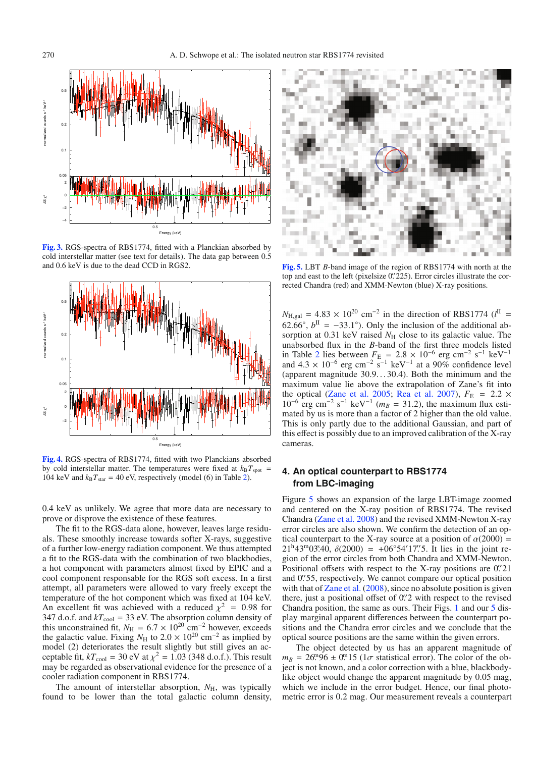<span id="page-3-0"></span>

**[Fig. 3.](http://dexter.edpsciences.org/applet.php?DOI=10.1051/0004-6361/200811041&pdf_id=3)** RGS-spectra of RBS1774, fitted with a Planckian absorbed by cold interstellar matter (see text for details). The data gap between 0.5 and 0.6 keV is due to the dead CCD in RGS2.

<span id="page-3-2"></span>

**[Fig. 4.](http://dexter.edpsciences.org/applet.php?DOI=10.1051/0004-6361/200811041&pdf_id=4)** RGS-spectra of RBS1774, fitted with two Planckians absorbed by cold interstellar matter. The temperatures were fixed at  $k_B T_{spot}$ 104 keV and  $k_B T_{\text{star}} = 40$  eV, respectively (model (6) in Table [2\)](#page-2-1).

0.4 keV as unlikely. We agree that more data are necessary to prove or disprove the existence of these features.

The fit to the RGS-data alone, however, leaves large residuals. These smoothly increase towards softer X-rays, suggestive of a further low-energy radiation component. We thus attempted a fit to the RGS-data with the combination of two blackbodies, a hot component with parameters almost fixed by EPIC and a cool component responsable for the RGS soft excess. In a first attempt, all parameters were allowed to vary freely except the temperature of the hot component which was fixed at 104 keV. An excellent fit was achieved with a reduced  $\chi^2 = 0.98$  for 347 d.o.f. and  $kT_{\text{cool}} = 33$  eV. The absorption column density of this unconstrained fit,  $N_H = 6.7 \times 10^{20}$  cm<sup>-2</sup> however, exceeds the galactic value. Fixing  $N_H$  to 2.0 × 10<sup>20</sup> cm<sup>-2</sup> as implied by model (2) deteriorates the result slightly but still gives an acceptable fit,  $kT_{\text{cool}} = 30 \text{ eV}$  at  $\chi^2 = 1.03$  (348 d.o.f.). This result may be regarded as observational evidence for the presence of a cooler radiation component in RBS1774.

The amount of interstellar absorption,  $N_{\rm H}$ , was typically found to be lower than the total galactic column density,

<span id="page-3-1"></span>

**[Fig. 5.](http://dexter.edpsciences.org/applet.php?DOI=10.1051/0004-6361/200811041&pdf_id=5)** LBT *B*-band image of the region of RBS1774 with north at the top and east to the left (pixelsize 0.'225). Error circles illustrate the corrected Chandra (red) and XMM-Newton (blue) X-ray positions.

 $N_{\text{H,gal}} = 4.83 \times 10^{20} \text{ cm}^{-2}$  in the direction of RBS1774 ( $l^{\text{II}}$  = 62.66°,  $b^{\text{II}} = -33.1$ °). Only the inclusion of the additional absorption at 0.31 keV raised  $N<sub>H</sub>$  close to its galactic value. The unabsorbed flux in the *B*-band of the first three models listed in Table [2](#page-2-1) lies between  $F_E = 2.8 \times 10^{-6}$  erg cm<sup>-2</sup> s<sup>-1</sup> keV<sup>-1</sup> and  $4.3 \times 10^{-6}$  erg cm<sup>-2</sup> s<sup>-1</sup> keV<sup>-1</sup> at a 90% confidence level (apparent magnitude 30.9. . . 30.4). Both the minimum and the maximum value lie above the extrapolation of Zane's fit into the optical [\(Zane et al. 2005](#page-5-2); [Rea et al. 2007](#page-5-10)),  $F_E$  = 2.2  $\times$  $10^{-6}$  erg cm<sup>-2</sup> s<sup>-1</sup> keV<sup>-1</sup> ( $m_B = 31.2$ ), the maximum flux estimated by us is more than a factor of 2 higher than the old value. This is only partly due to the additional Gaussian, and part of this effect is possibly due to an improved calibration of the X-ray cameras.

## **4. An optical counterpart to RBS1774 from LBC-imaging**

Figure [5](#page-3-1) shows an expansion of the large LBT-image zoomed and centered on the X-ray position of RBS1774. The revised Chandra [\(Zane et al. 2008\)](#page-5-12) and the revised XMM-Newton X-ray error circles are also shown. We confirm the detection of an optical counterpart to the X-ray source at a position of  $\alpha(2000)$  =  $21^{\text{h}}43^{\text{m}}03^{\text{s}}40$ ,  $\delta(2000) = +06°54'17\rlap{.}''5$ . It lies in the joint region of the error circles from both Chandra and XMM-Newton. Positional offsets with respect to the X-ray positions are  $0\rlap{.}^{\prime\prime}21$ and 0.'55, respectively. We cannot compare our optical position with that of [Zane et al.](#page-5-12) [\(2008](#page-5-12)), since no absolute position is given there, just a positional offset of 0. 2 with respect to the revised Chandra position, the same as ours. Their Figs. [1](#page-2-0) and our [5](#page-3-1) display marginal apparent differences between the counterpart positions and the Chandra error circles and we conclude that the optical source positions are the same within the given errors.

The object detected by us has an apparent magnitude of  $m_B = 26^{\circ}0.96 \pm 0.0015$  (1 $\sigma$  statistical error). The color of the object is not known, and a color correction with a blue, blackbodylike object would change the apparent magnitude by 0.05 mag, which we include in the error budget. Hence, our final photometric error is 0.2 mag. Our measurement reveals a counterpart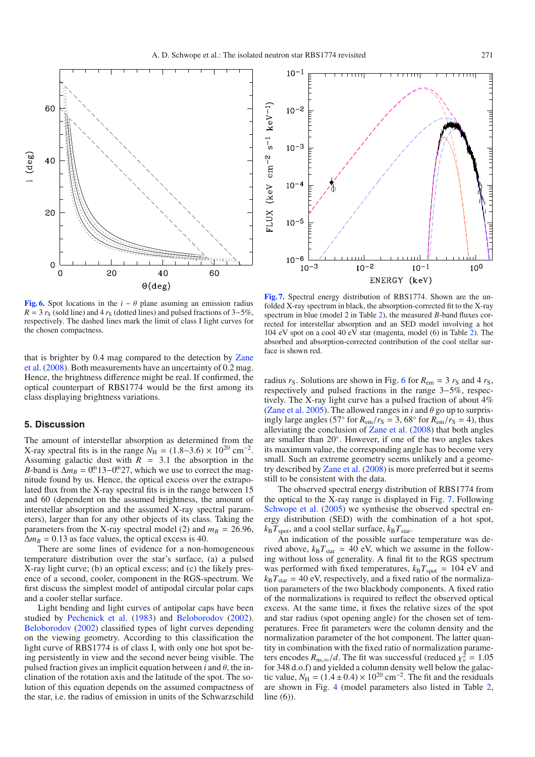<span id="page-4-0"></span>

**[Fig. 6.](http://dexter.edpsciences.org/applet.php?DOI=10.1051/0004-6361/200811041&pdf_id=6)** Spot locations in the  $i - \theta$  plane asuming an emission radius  $R = 3 r<sub>S</sub>$  (sold line) and 4  $r<sub>S</sub>$  (dotted lines) and pulsed fractions of 3–5%, respectively. The dashed lines mark the limit of class I light curves for the chosen compactness.

that [is brighter by 0.4 mag compared to the detection by](#page-5-12) Zane et al. [\(2008](#page-5-12)). Both measurements have an uncertainty of 0.2 mag. Hence, the brightness difference might be real. If confirmed, the optical counterpart of RBS1774 would be the first among its class displaying brightness variations.

#### **5. Discussion**

The amount of interstellar absorption as determined from the X-ray spectral fits is in the range  $N_{\rm H}$  = (1.8−3.6) × 10<sup>20</sup> cm<sup>-2</sup>. Assuming galactic dust with  $R = 3.1$  the absorption in the *B*-band is  $\Delta m_B = 0$ . 13–0. 27, which we use to correct the magnitude found by us. Hence, the optical excess over the extrapolated flux from the X-ray spectral fits is in the range between 15 and 60 (dependent on the assumed brightness, the amount of interstellar absorption and the assumed X-ray spectral parameters), larger than for any other objects of its class. Taking the parameters from the X-ray spectral model (2) and  $m_B = 26.96$ ,  $\Delta m_B = 0.13$  as face values, the optical excess is 40.

There are some lines of evidence for a non-homogeneous temperature distribution over the star's surface, (a) a pulsed X-ray light curve; (b) an optical excess; and (c) the likely presence of a second, cooler, component in the RGS-spectrum. We first discuss the simplest model of antipodal circular polar caps and a cooler stellar surface.

Light bending and light curves of antipolar caps have been studied by [Pechenick et al.](#page-5-16) [\(1983](#page-5-16)) and [Beloborodov](#page-5-17) [\(2002](#page-5-17)). [Beloborodov](#page-5-17) [\(2002](#page-5-17)) classified types of light curves depending on the viewing geometry. According to this classification the light curve of RBS1774 is of class I, with only one hot spot being persistently in view and the second never being visible. The pulsed fraction gives an implicit equation between  $i$  and  $\theta$ , the inclination of the rotation axis and the latitude of the spot. The solution of this equation depends on the assumed compactness of the star, i.e. the radius of emission in units of the Schwarzschild

<span id="page-4-1"></span>

**[Fig. 7.](http://dexter.edpsciences.org/applet.php?DOI=10.1051/0004-6361/200811041&pdf_id=7)** Spectral energy distribution of RBS1774. Shown are the unfolded X-ray spectrum in black, the absorption-corrected fit to the X-ray spectrum in blue (model 2 in Table [2\)](#page-2-1), the measured *B*-band fluxes corrected for interstellar absorption and an SED model involving a hot 104 eV spot on a cool 40 eV star (magenta, model (6) in Table [2\)](#page-2-1). The absorbed and absorption-corrected contribution of the cool stellar surface is shown red.

radius  $r_S$ . Solutions are shown in Fig. [6](#page-4-0) for  $R_{\text{em}} = 3 r_S$  and 4  $r_S$ , respectively and pulsed fractions in the range 3−5%, respectively. The X-ray light curve has a pulsed fraction of about 4% [\(Zane et al. 2005](#page-5-2)). The allowed ranges in *i* and  $\theta$  go up to surprisingly large angles (57° for  $R_{em}/r_S = 3$ , 68° for  $R_{em}/r_S = 4$ ), thus alleviating the conclusion of [Zane et al.](#page-5-12) [\(2008](#page-5-12)) that both angles are smaller than 20◦. However, if one of the two angles takes its maximum value, the corresponding angle has to become very small. Such an extreme geometry seems unlikely and a geometry described by [Zane et al.](#page-5-12) [\(2008\)](#page-5-12) is more preferred but it seems still to be consistent with the data.

The observed spectral energy distribution of RBS1774 from the optical to the X-ray range is displayed in Fig. [7.](#page-4-1) Following [Schwope et al.](#page-5-4) [\(2005](#page-5-4)) we synthesise the observed spectral energy distribution (SED) with the combination of a hot spot,  $k_B T_{\text{spot}}$ , and a cool stellar surface,  $k_B T_{\text{star}}$ .

An indication of the possible surface temperature was derived above,  $k_B T_{\text{star}} \approx 40 \text{ eV}$ , which we assume in the following without loss of generality. A final fit to the RGS spectrum was performed with fixed temperatures,  $k_B T_{spot} = 104 \text{ eV}$  and  $k_B T_{\text{star}} = 40$  eV, respectively, and a fixed ratio of the normalization parameters of the two blackbody components. A fixed ratio of the normalizations is required to reflect the observed optical excess. At the same time, it fixes the relative sizes of the spot and star radius (spot opening angle) for the chosen set of temperatures. Free fit parameters were the column density and the normalization parameter of the hot component. The latter quantity in combination with the fixed ratio of normalization parameters encodes  $R_{\text{ns},\infty}/d$ . The fit was successful (reduced  $\chi^2_{\nu} = 1.05$ for 348 d.o.f) and yielded a column density well below the galactic value,  $N_H = (1.4 \pm 0.4) \times 10^{20}$  cm<sup>-2</sup>. The fit and the residuals are shown in Fig. [4](#page-3-2) (model parameters also listed in Table [2,](#page-2-1) line (6)).